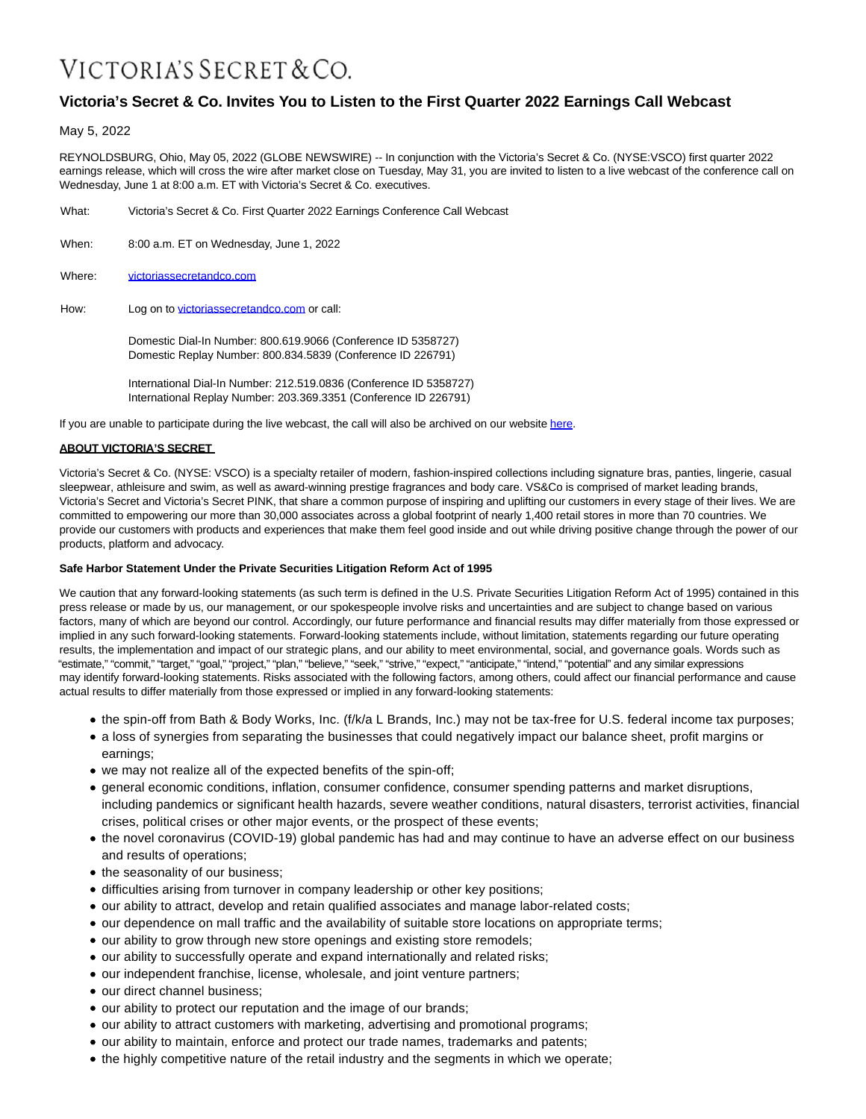## VICTORIA'S SECRET & CO.

## **Victoria's Secret & Co. Invites You to Listen to the First Quarter 2022 Earnings Call Webcast**

May 5, 2022

REYNOLDSBURG, Ohio, May 05, 2022 (GLOBE NEWSWIRE) -- In conjunction with the Victoria's Secret & Co. (NYSE:VSCO) first quarter 2022 earnings release, which will cross the wire after market close on Tuesday, May 31, you are invited to listen to a live webcast of the conference call on Wednesday, June 1 at 8:00 a.m. ET with Victoria's Secret & Co. executives.

- What: Victoria's Secret & Co. First Quarter 2022 Earnings Conference Call Webcast
- When: 8:00 a.m. ET on Wednesday, June 1, 2022
- Where: [victoriassecretandco.com](http://www.victoriassecretandco.com/)
- How: Log on to [victoriassecretandco.com o](https://www.victoriassecretandco.com/)r call:

Domestic Dial-In Number: 800.619.9066 (Conference ID 5358727) Domestic Replay Number: 800.834.5839 (Conference ID 226791)

International Dial-In Number: 212.519.0836 (Conference ID 5358727) International Replay Number: 203.369.3351 (Conference ID 226791)

If you are unable to participate during the live webcast, the call will also be archived on our websit[e here.](https://www.globenewswire.com/Tracker?data=FTleV-Cx5NIUaDbl9wc_MnlELcuHzaQGerabiWRTJvWFV2lMV2PsAPBkn84g92scqnT2yhbSWsd4d6CLnntz0lA1qxKR7aYStN_ymD8jXL7dPfAB0EXQ_t9zvGSE9BPc_0xtQbQPu7kzYZuHPZaewEZrsbSl3ElbkhmDWymbjws=)

## **ABOUT VICTORIA'S SECRET**

Victoria's Secret & Co. (NYSE: VSCO) is a specialty retailer of modern, fashion-inspired collections including signature bras, panties, lingerie, casual sleepwear, athleisure and swim, as well as award-winning prestige fragrances and body care. VS&Co is comprised of market leading brands, Victoria's Secret and Victoria's Secret PINK, that share a common purpose of inspiring and uplifting our customers in every stage of their lives. We are committed to empowering our more than 30,000 associates across a global footprint of nearly 1,400 retail stores in more than 70 countries. We provide our customers with products and experiences that make them feel good inside and out while driving positive change through the power of our products, platform and advocacy.

## **Safe Harbor Statement Under the Private Securities Litigation Reform Act of 1995**

We caution that any forward-looking statements (as such term is defined in the U.S. Private Securities Litigation Reform Act of 1995) contained in this press release or made by us, our management, or our spokespeople involve risks and uncertainties and are subject to change based on various factors, many of which are beyond our control. Accordingly, our future performance and financial results may differ materially from those expressed or implied in any such forward-looking statements. Forward-looking statements include, without limitation, statements regarding our future operating results, the implementation and impact of our strategic plans, and our ability to meet environmental, social, and governance goals. Words such as "estimate," "commit," "target," "goal," "project," "plan," "believe," "seek," "strive," "expect," "anticipate," "intend," "potential" and any similar expressions may identify forward-looking statements. Risks associated with the following factors, among others, could affect our financial performance and cause actual results to differ materially from those expressed or implied in any forward-looking statements:

- the spin-off from Bath & Body Works, Inc. (f/k/a L Brands, Inc.) may not be tax-free for U.S. federal income tax purposes;
- a loss of synergies from separating the businesses that could negatively impact our balance sheet, profit margins or earnings;
- we may not realize all of the expected benefits of the spin-off;
- general economic conditions, inflation, consumer confidence, consumer spending patterns and market disruptions, including pandemics or significant health hazards, severe weather conditions, natural disasters, terrorist activities, financial crises, political crises or other major events, or the prospect of these events;
- the novel coronavirus (COVID-19) global pandemic has had and may continue to have an adverse effect on our business and results of operations;
- the seasonality of our business;
- difficulties arising from turnover in company leadership or other key positions;
- our ability to attract, develop and retain qualified associates and manage labor-related costs;
- our dependence on mall traffic and the availability of suitable store locations on appropriate terms;
- our ability to grow through new store openings and existing store remodels;
- our ability to successfully operate and expand internationally and related risks;
- our independent franchise, license, wholesale, and joint venture partners;
- our direct channel business;
- our ability to protect our reputation and the image of our brands;
- our ability to attract customers with marketing, advertising and promotional programs;
- our ability to maintain, enforce and protect our trade names, trademarks and patents;
- the highly competitive nature of the retail industry and the segments in which we operate;